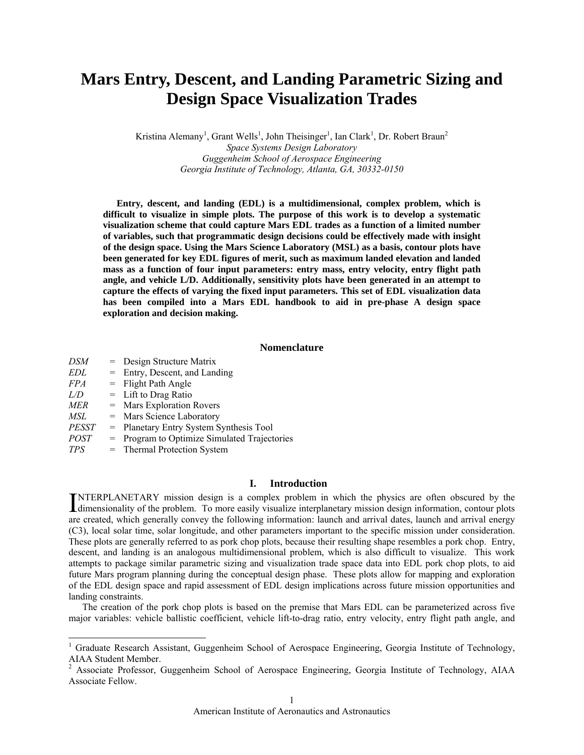# **Mars Entry, Descent, and Landing Parametric Sizing and Design Space Visualization Trades**

Kristina Alemany<sup>1</sup>, Grant Wells<sup>1</sup>, John Theisinger<sup>1</sup>, Ian Clark<sup>1</sup>, Dr. Robert Braun<sup>2</sup> *Space Systems Design Laboratory* 

*Guggenheim School of Aerospace Engineering Georgia Institute of Technology, Atlanta, GA, 30332-0150* 

**Entry, descent, and landing (EDL) is a multidimensional, complex problem, which is difficult to visualize in simple plots. The purpose of this work is to develop a systematic visualization scheme that could capture Mars EDL trades as a function of a limited number of variables, such that programmatic design decisions could be effectively made with insight of the design space. Using the Mars Science Laboratory (MSL) as a basis, contour plots have been generated for key EDL figures of merit, such as maximum landed elevation and landed mass as a function of four input parameters: entry mass, entry velocity, entry flight path angle, and vehicle L/D. Additionally, sensitivity plots have been generated in an attempt to capture the effects of varying the fixed input parameters. This set of EDL visualization data has been compiled into a Mars EDL handbook to aid in pre-phase A design space exploration and decision making.** 

### **Nomenclature**

| DSM            | $=$ Design Structure Matrix                                                                                                                                                                                                                                                                                                        |
|----------------|------------------------------------------------------------------------------------------------------------------------------------------------------------------------------------------------------------------------------------------------------------------------------------------------------------------------------------|
| EDL            | = Entry, Descent, and Landing                                                                                                                                                                                                                                                                                                      |
| <i>FPA</i>     | $=$ Flight Path Angle                                                                                                                                                                                                                                                                                                              |
| L/D            | $=$ Lift to Drag Ratio                                                                                                                                                                                                                                                                                                             |
| MER            | $=$ Mars Exploration Rovers                                                                                                                                                                                                                                                                                                        |
| MSL            | = Mars Science Laboratory                                                                                                                                                                                                                                                                                                          |
| <i>PESST</i>   | = Planetary Entry System Synthesis Tool                                                                                                                                                                                                                                                                                            |
| <i>POST</i>    | = Program to Optimize Simulated Trajectories                                                                                                                                                                                                                                                                                       |
| $\pi$ n $\sim$ | $\mathbf{1}$ $\mathbf{R}$ $\mathbf{1}$ $\mathbf{R}$ $\mathbf{1}$ $\mathbf{R}$ $\mathbf{1}$ $\mathbf{R}$ $\mathbf{1}$ $\mathbf{R}$ $\mathbf{1}$ $\mathbf{1}$ $\mathbf{R}$ $\mathbf{1}$ $\mathbf{1}$ $\mathbf{1}$ $\mathbf{1}$ $\mathbf{1}$ $\mathbf{1}$ $\mathbf{1}$ $\mathbf{1}$ $\mathbf{1}$ $\mathbf{1}$ $\mathbf{1}$ $\mathbf{$ |

*TPS* = Thermal Protection System

-

## **I. Introduction**

NTERPLANETARY mission design is a complex problem in which the physics are often obscured by the INTERPLANETARY mission design is a complex problem in which the physics are often obscured by the dimensionality of the problem. To more easily visualize interplanetary mission design information, contour plots are created, which generally convey the following information: launch and arrival dates, launch and arrival energy (C3), local solar time, solar longitude, and other parameters important to the specific mission under consideration. These plots are generally referred to as pork chop plots, because their resulting shape resembles a pork chop. Entry, descent, and landing is an analogous multidimensional problem, which is also difficult to visualize. This work attempts to package similar parametric sizing and visualization trade space data into EDL pork chop plots, to aid future Mars program planning during the conceptual design phase. These plots allow for mapping and exploration of the EDL design space and rapid assessment of EDL design implications across future mission opportunities and landing constraints.

 The creation of the pork chop plots is based on the premise that Mars EDL can be parameterized across five major variables: vehicle ballistic coefficient, vehicle lift-to-drag ratio, entry velocity, entry flight path angle, and

<sup>&</sup>lt;sup>1</sup> Graduate Research Assistant, Guggenheim School of Aerospace Engineering, Georgia Institute of Technology, AIAA Student Member.

<sup>&</sup>lt;sup>2</sup> Associate Professor, Guggenheim School of Aerospace Engineering, Georgia Institute of Technology, AIAA Associate Fellow.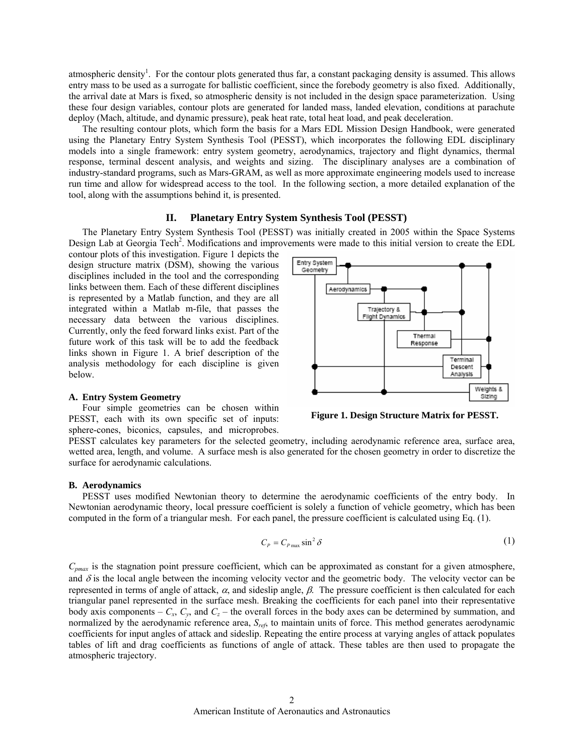atmospheric density<sup>1</sup>. For the contour plots generated thus far, a constant packaging density is assumed. This allows entry mass to be used as a surrogate for ballistic coefficient, since the forebody geometry is also fixed. Additionally, the arrival date at Mars is fixed, so atmospheric density is not included in the design space parameterization. Using these four design variables, contour plots are generated for landed mass, landed elevation, conditions at parachute deploy (Mach, altitude, and dynamic pressure), peak heat rate, total heat load, and peak deceleration.

 The resulting contour plots, which form the basis for a Mars EDL Mission Design Handbook, were generated using the Planetary Entry System Synthesis Tool (PESST), which incorporates the following EDL disciplinary models into a single framework: entry system geometry, aerodynamics, trajectory and flight dynamics, thermal response, terminal descent analysis, and weights and sizing. The disciplinary analyses are a combination of industry-standard programs, such as Mars-GRAM, as well as more approximate engineering models used to increase run time and allow for widespread access to the tool. In the following section, a more detailed explanation of the tool, along with the assumptions behind it, is presented.

#### **II. Planetary Entry System Synthesis Tool (PESST)**

The Planetary Entry System Synthesis Tool (PESST) was initially created in 2005 within the Space Systems Design Lab at Georgia Tech<sup>2</sup>. Modifications and improvements were made to this initial version to create the EDL

contour plots of this investigation. Figure 1 depicts the design structure matrix (DSM), showing the various disciplines included in the tool and the corresponding links between them. Each of these different disciplines is represented by a Matlab function, and they are all integrated within a Matlab m-file, that passes the necessary data between the various disciplines. Currently, only the feed forward links exist. Part of the future work of this task will be to add the feedback links shown in Figure 1. A brief description of the analysis methodology for each discipline is given below.

#### **A. Entry System Geometry**

Four simple geometries can be chosen within PESST, each with its own specific set of inputs: sphere-cones, biconics, capsules, and microprobes.



**Figure 1. Design Structure Matrix for PESST.** 

PESST calculates key parameters for the selected geometry, including aerodynamic reference area, surface area, wetted area, length, and volume. A surface mesh is also generated for the chosen geometry in order to discretize the surface for aerodynamic calculations.

#### **B. Aerodynamics**

PESST uses modified Newtonian theory to determine the aerodynamic coefficients of the entry body. In Newtonian aerodynamic theory, local pressure coefficient is solely a function of vehicle geometry, which has been computed in the form of a triangular mesh. For each panel, the pressure coefficient is calculated using Eq. (1).

$$
C_P = C_{P\max} \sin^2 \delta \tag{1}
$$

 $C_{pmax}$  is the stagnation point pressure coefficient, which can be approximated as constant for a given atmosphere, and  $\delta$  is the local angle between the incoming velocity vector and the geometric body. The velocity vector can be represented in terms of angle of attack, α, and sideslip angle, β. The pressure coefficient is then calculated for each triangular panel represented in the surface mesh. Breaking the coefficients for each panel into their representative body axis components –  $C_x$ ,  $C_y$ , and  $C_z$  – the overall forces in the body axes can be determined by summation, and normalized by the aerodynamic reference area, *Sref*, to maintain units of force. This method generates aerodynamic coefficients for input angles of attack and sideslip. Repeating the entire process at varying angles of attack populates tables of lift and drag coefficients as functions of angle of attack. These tables are then used to propagate the atmospheric trajectory.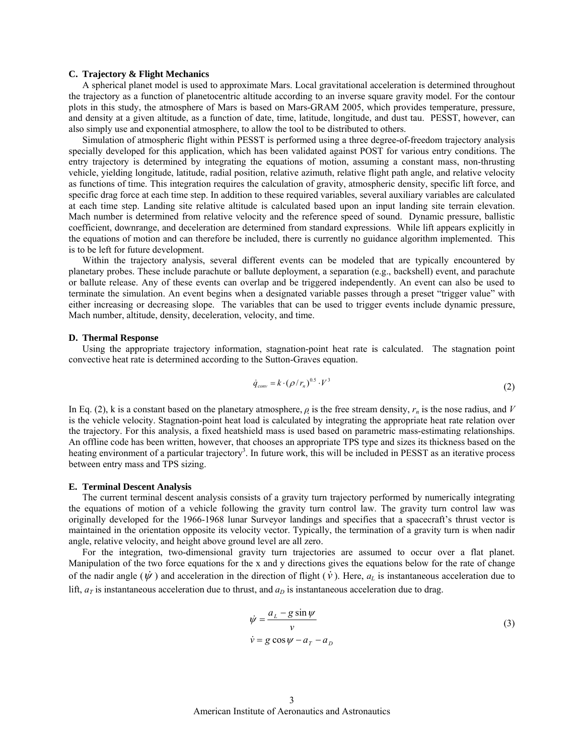#### **C. Trajectory & Flight Mechanics**

A spherical planet model is used to approximate Mars. Local gravitational acceleration is determined throughout the trajectory as a function of planetocentric altitude according to an inverse square gravity model. For the contour plots in this study, the atmosphere of Mars is based on Mars-GRAM 2005, which provides temperature, pressure, and density at a given altitude, as a function of date, time, latitude, longitude, and dust tau. PESST, however, can also simply use and exponential atmosphere, to allow the tool to be distributed to others.

Simulation of atmospheric flight within PESST is performed using a three degree-of-freedom trajectory analysis specially developed for this application, which has been validated against POST for various entry conditions. The entry trajectory is determined by integrating the equations of motion, assuming a constant mass, non-thrusting vehicle, yielding longitude, latitude, radial position, relative azimuth, relative flight path angle, and relative velocity as functions of time. This integration requires the calculation of gravity, atmospheric density, specific lift force, and specific drag force at each time step. In addition to these required variables, several auxiliary variables are calculated at each time step. Landing site relative altitude is calculated based upon an input landing site terrain elevation. Mach number is determined from relative velocity and the reference speed of sound. Dynamic pressure, ballistic coefficient, downrange, and deceleration are determined from standard expressions. While lift appears explicitly in the equations of motion and can therefore be included, there is currently no guidance algorithm implemented. This is to be left for future development.

Within the trajectory analysis, several different events can be modeled that are typically encountered by planetary probes. These include parachute or ballute deployment, a separation (e.g., backshell) event, and parachute or ballute release. Any of these events can overlap and be triggered independently. An event can also be used to terminate the simulation. An event begins when a designated variable passes through a preset "trigger value" with either increasing or decreasing slope. The variables that can be used to trigger events include dynamic pressure, Mach number, altitude, density, deceleration, velocity, and time.

#### **D. Thermal Response**

Using the appropriate trajectory information, stagnation-point heat rate is calculated. The stagnation point convective heat rate is determined according to the Sutton-Graves equation.

$$
\dot{q}_{conv} = k \cdot (\rho / r_n)^{0.5} \cdot V^3 \tag{2}
$$

In Eq. (2), k is a constant based on the planetary atmosphere, *ρ* is the free stream density, *rn* is the nose radius, and *V* is the vehicle velocity. Stagnation-point heat load is calculated by integrating the appropriate heat rate relation over the trajectory. For this analysis, a fixed heatshield mass is used based on parametric mass-estimating relationships. An offline code has been written, however, that chooses an appropriate TPS type and sizes its thickness based on the heating environment of a particular trajectory<sup>3</sup>. In future work, this will be included in PESST as an iterative process between entry mass and TPS sizing.

## **E. Terminal Descent Analysis**

The current terminal descent analysis consists of a gravity turn trajectory performed by numerically integrating the equations of motion of a vehicle following the gravity turn control law. The gravity turn control law was originally developed for the 1966-1968 lunar Surveyor landings and specifies that a spacecraft's thrust vector is maintained in the orientation opposite its velocity vector. Typically, the termination of a gravity turn is when nadir angle, relative velocity, and height above ground level are all zero.

For the integration, two-dimensional gravity turn trajectories are assumed to occur over a flat planet. Manipulation of the two force equations for the x and y directions gives the equations below for the rate of change of the nadir angle ( $\dot{\psi}$ ) and acceleration in the direction of flight ( $\dot{v}$ ). Here,  $a<sub>L</sub>$  is instantaneous acceleration due to lift,  $a_T$  is instantaneous acceleration due to thrust, and  $a_D$  is instantaneous acceleration due to drag.

$$
\dot{\psi} = \frac{a_L - g \sin \psi}{v}
$$
\n
$$
\dot{\psi} = g \cos \psi - a_T - a_D \tag{3}
$$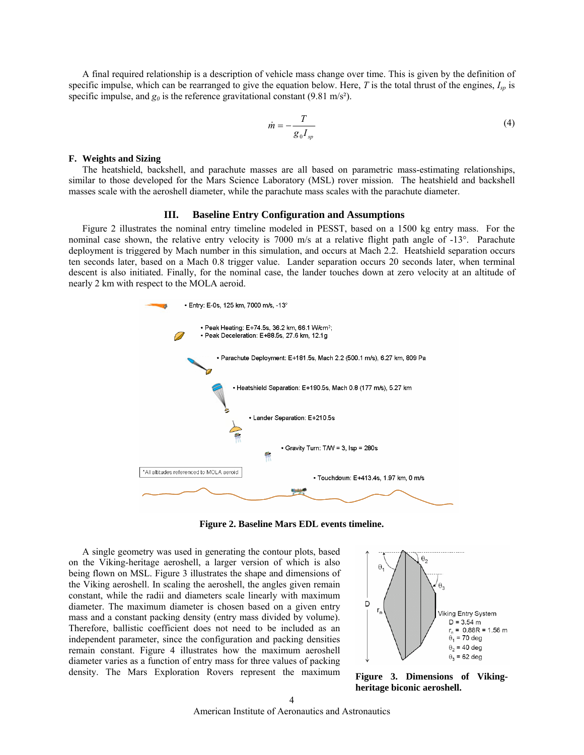A final required relationship is a description of vehicle mass change over time. This is given by the definition of specific impulse, which can be rearranged to give the equation below. Here, *T* is the total thrust of the engines, *Isp* is specific impulse, and  $g_0$  is the reference gravitational constant (9.81 m/s<sup>2</sup>).

$$
\dot{m} = -\frac{T}{g_0 I_{sp}}\tag{4}
$$

#### **F. Weights and Sizing**

 The heatshield, backshell, and parachute masses are all based on parametric mass-estimating relationships, similar to those developed for the Mars Science Laboratory (MSL) rover mission. The heatshield and backshell masses scale with the aeroshell diameter, while the parachute mass scales with the parachute diameter.

## **III. Baseline Entry Configuration and Assumptions**

Figure 2 illustrates the nominal entry timeline modeled in PESST, based on a 1500 kg entry mass. For the nominal case shown, the relative entry velocity is 7000 m/s at a relative flight path angle of -13°. Parachute deployment is triggered by Mach number in this simulation, and occurs at Mach 2.2. Heatshield separation occurs ten seconds later, based on a Mach 0.8 trigger value. Lander separation occurs 20 seconds later, when terminal descent is also initiated. Finally, for the nominal case, the lander touches down at zero velocity at an altitude of nearly 2 km with respect to the MOLA aeroid.



**Figure 2. Baseline Mars EDL events timeline.** 

A single geometry was used in generating the contour plots, based on the Viking-heritage aeroshell, a larger version of which is also being flown on MSL. Figure 3 illustrates the shape and dimensions of the Viking aeroshell. In scaling the aeroshell, the angles given remain constant, while the radii and diameters scale linearly with maximum diameter. The maximum diameter is chosen based on a given entry mass and a constant packing density (entry mass divided by volume). Therefore, ballistic coefficient does not need to be included as an independent parameter, since the configuration and packing densities remain constant. Figure 4 illustrates how the maximum aeroshell diameter varies as a function of entry mass for three values of packing density. The Mars Exploration Rovers represent the maximum **Figure 3. Dimensions of Viking-**



**heritage biconic aeroshell.**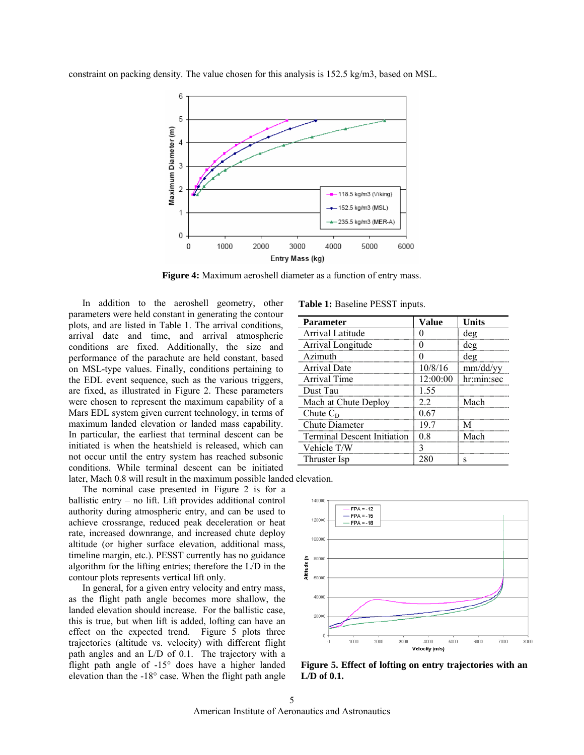constraint on packing density. The value chosen for this analysis is 152.5 kg/m3, based on MSL.



**Figure 4:** Maximum aeroshell diameter as a function of entry mass.

 In addition to the aeroshell geometry, other parameters were held constant in generating the contour plots, and are listed in Table 1. The arrival conditions, arrival date and time, and arrival atmospheric conditions are fixed. Additionally, the size and performance of the parachute are held constant, based on MSL-type values. Finally, conditions pertaining to the EDL event sequence, such as the various triggers, are fixed, as illustrated in Figure 2. These parameters were chosen to represent the maximum capability of a Mars EDL system given current technology, in terms of maximum landed elevation or landed mass capability. In particular, the earliest that terminal descent can be initiated is when the heatshield is released, which can not occur until the entry system has reached subsonic conditions. While terminal descent can be initiated later, Mach 0.8 will result in the maximum possible landed elevation.

 The nominal case presented in Figure 2 is for a ballistic entry – no lift. Lift provides additional control authority during atmospheric entry, and can be used to achieve crossrange, reduced peak deceleration or heat rate, increased downrange, and increased chute deploy altitude (or higher surface elevation, additional mass, timeline margin, etc.). PESST currently has no guidance algorithm for the lifting entries; therefore the L/D in the contour plots represents vertical lift only.

 In general, for a given entry velocity and entry mass, as the flight path angle becomes more shallow, the landed elevation should increase. For the ballistic case, this is true, but when lift is added, lofting can have an effect on the expected trend. Figure 5 plots three trajectories (altitude vs. velocity) with different flight path angles and an L/D of 0.1. The trajectory with a flight path angle of -15° does have a higher landed elevation than the -18° case. When the flight path angle

**Table 1:** Baseline PESST inputs.

| Parameter                   | Value   | Units                   |
|-----------------------------|---------|-------------------------|
| Arrival Latitude            |         | de₫                     |
| Arrival Longitude           |         | deg                     |
| Azimuth                     |         | deg                     |
| <b>Arrival Date</b>         | 10/8/16 | mm/dd/vv                |
| <b>Arrival Time</b>         |         | $12:00:00$   hr:min:sec |
| Dust Tau                    | 155     | <u> !</u>               |
| Mach at Chute Deploy        |         |                         |
| Chute $C_D$                 |         |                         |
| Chute Diameter              |         |                         |
| Terminal Descent Initiation |         | Mach                    |
| Vehicle T/W                 |         |                         |
| Thruster Isp                |         |                         |



**Figure 5. Effect of lofting on entry trajectories with an L/D of 0.1.**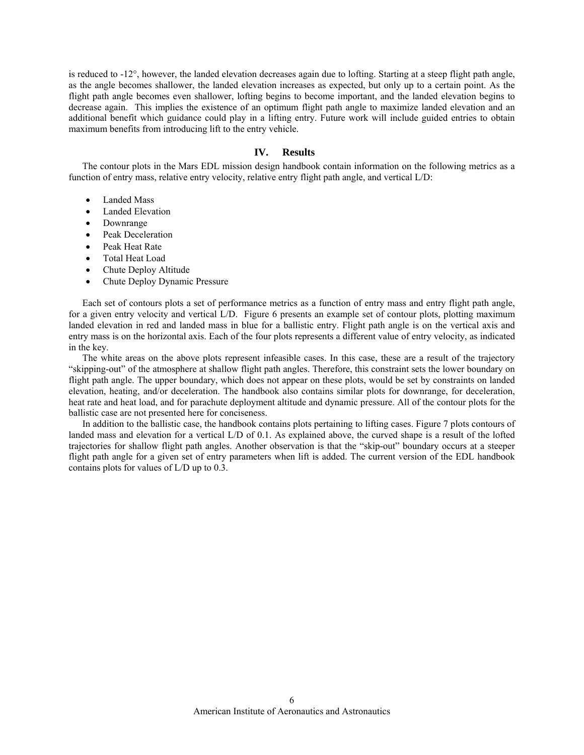is reduced to -12°, however, the landed elevation decreases again due to lofting. Starting at a steep flight path angle, as the angle becomes shallower, the landed elevation increases as expected, but only up to a certain point. As the flight path angle becomes even shallower, lofting begins to become important, and the landed elevation begins to decrease again. This implies the existence of an optimum flight path angle to maximize landed elevation and an additional benefit which guidance could play in a lifting entry. Future work will include guided entries to obtain maximum benefits from introducing lift to the entry vehicle.

## **IV. Results**

The contour plots in the Mars EDL mission design handbook contain information on the following metrics as a function of entry mass, relative entry velocity, relative entry flight path angle, and vertical L/D:

- **Landed Mass**
- Landed Elevation
- Downrange
- Peak Deceleration
- Peak Heat Rate
- Total Heat Load
- Chute Deploy Altitude
- Chute Deploy Dynamic Pressure

 Each set of contours plots a set of performance metrics as a function of entry mass and entry flight path angle, for a given entry velocity and vertical L/D. Figure 6 presents an example set of contour plots, plotting maximum landed elevation in red and landed mass in blue for a ballistic entry. Flight path angle is on the vertical axis and entry mass is on the horizontal axis. Each of the four plots represents a different value of entry velocity, as indicated in the key.

 The white areas on the above plots represent infeasible cases. In this case, these are a result of the trajectory "skipping-out" of the atmosphere at shallow flight path angles. Therefore, this constraint sets the lower boundary on flight path angle. The upper boundary, which does not appear on these plots, would be set by constraints on landed elevation, heating, and/or deceleration. The handbook also contains similar plots for downrange, for deceleration, heat rate and heat load, and for parachute deployment altitude and dynamic pressure. All of the contour plots for the ballistic case are not presented here for conciseness.

 In addition to the ballistic case, the handbook contains plots pertaining to lifting cases. Figure 7 plots contours of landed mass and elevation for a vertical L/D of 0.1. As explained above, the curved shape is a result of the lofted trajectories for shallow flight path angles. Another observation is that the "skip-out" boundary occurs at a steeper flight path angle for a given set of entry parameters when lift is added. The current version of the EDL handbook contains plots for values of L/D up to 0.3.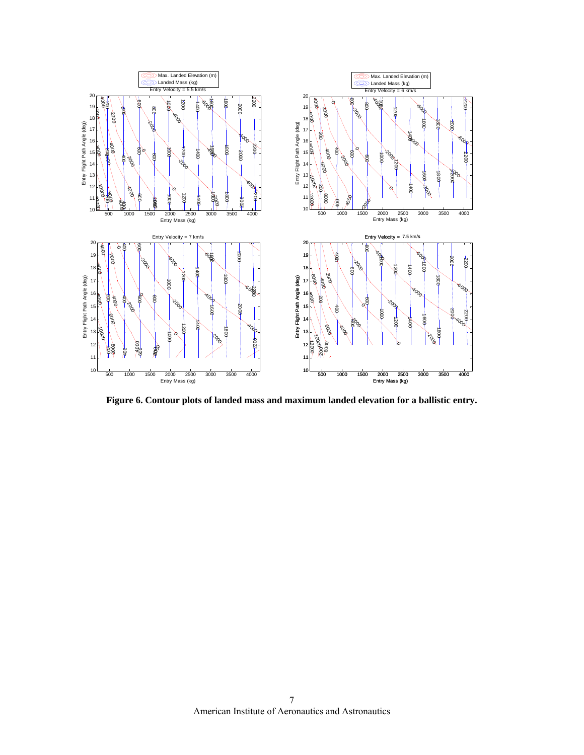

**Figure 6. Contour plots of landed mass and maximum landed elevation for a ballistic entry.**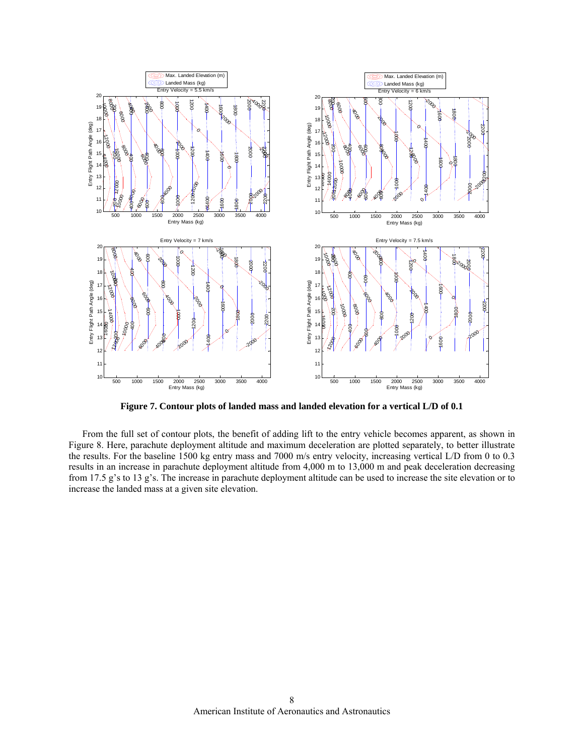

**Figure 7. Contour plots of landed mass and landed elevation for a vertical L/D of 0.1** 

 From the full set of contour plots, the benefit of adding lift to the entry vehicle becomes apparent, as shown in Figure 8. Here, parachute deployment altitude and maximum deceleration are plotted separately, to better illustrate the results. For the baseline 1500 kg entry mass and 7000 m/s entry velocity, increasing vertical L/D from 0 to 0.3 results in an increase in parachute deployment altitude from 4,000 m to 13,000 m and peak deceleration decreasing from 17.5 g's to 13 g's. The increase in parachute deployment altitude can be used to increase the site elevation or to increase the landed mass at a given site elevation.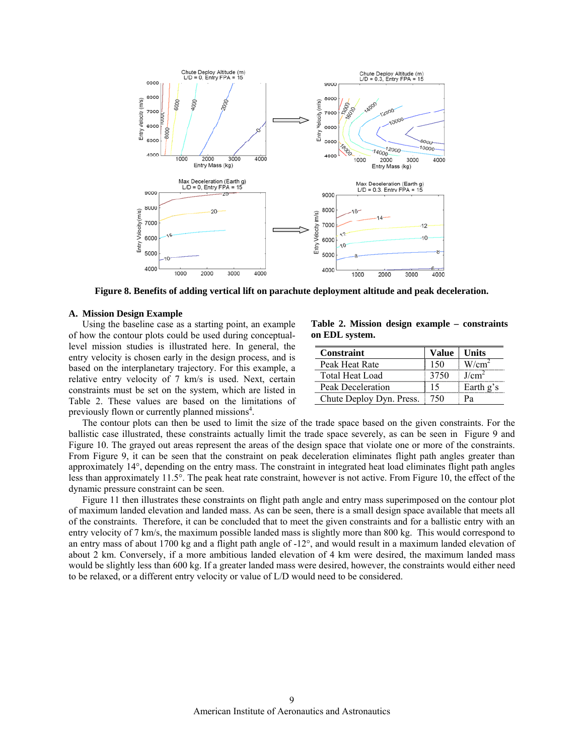

**Figure 8. Benefits of adding vertical lift on parachute deployment altitude and peak deceleration.** 

#### **A. Mission Design Example**

Using the baseline case as a starting point, an example of how the contour plots could be used during conceptuallevel mission studies is illustrated here. In general, the entry velocity is chosen early in the design process, and is based on the interplanetary trajectory. For this example, a relative entry velocity of 7 km/s is used. Next, certain constraints must be set on the system, which are listed in Table 2. These values are based on the limitations of previously flown or currently planned missions<sup>4</sup>.

|  |                |  | Table 2. Mission design example – constraints |
|--|----------------|--|-----------------------------------------------|
|  | on EDL system. |  |                                               |

| <b>Constraint</b>        | Value | Units             |
|--------------------------|-------|-------------------|
| Peak Heat Rate           | 150   | W/cm <sup>2</sup> |
| Total Heat Load          | 3750  | J/cm <sup>2</sup> |
| Peak Deceleration        | 15    | Earth $g$ 's      |
| Chute Deploy Dyn. Press. | 750   | Pа                |

The contour plots can then be used to limit the size of the trade space based on the given constraints. For the ballistic case illustrated, these constraints actually limit the trade space severely, as can be seen in Figure 9 and Figure 10. The grayed out areas represent the areas of the design space that violate one or more of the constraints. From Figure 9, it can be seen that the constraint on peak deceleration eliminates flight path angles greater than approximately 14°, depending on the entry mass. The constraint in integrated heat load eliminates flight path angles less than approximately 11.5°. The peak heat rate constraint, however is not active. From Figure 10, the effect of the dynamic pressure constraint can be seen.

Figure 11 then illustrates these constraints on flight path angle and entry mass superimposed on the contour plot of maximum landed elevation and landed mass. As can be seen, there is a small design space available that meets all of the constraints. Therefore, it can be concluded that to meet the given constraints and for a ballistic entry with an entry velocity of 7 km/s, the maximum possible landed mass is slightly more than 800 kg. This would correspond to an entry mass of about 1700 kg and a flight path angle of -12°, and would result in a maximum landed elevation of about 2 km. Conversely, if a more ambitious landed elevation of 4 km were desired, the maximum landed mass would be slightly less than 600 kg. If a greater landed mass were desired, however, the constraints would either need to be relaxed, or a different entry velocity or value of L/D would need to be considered.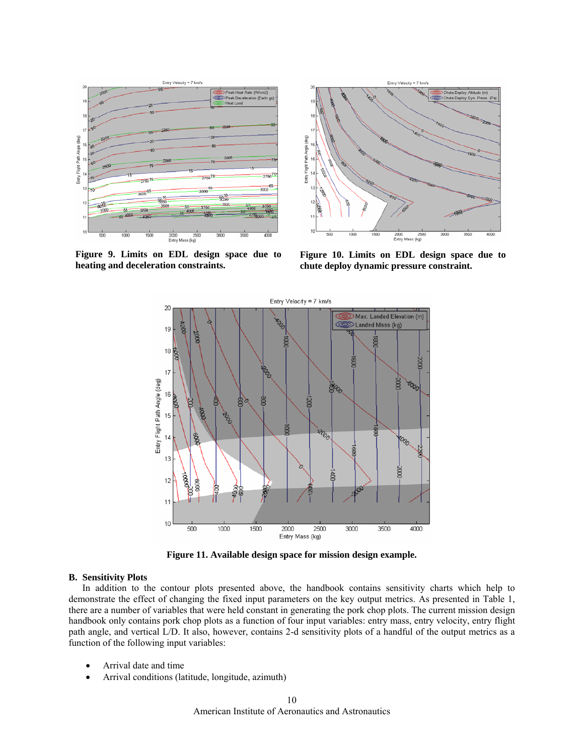

**Figure 9. Limits on EDL design space due to heating and deceleration constraints.** 



**Figure 10. Limits on EDL design space due to chute deploy dynamic pressure constraint.** 



**Figure 11. Available design space for mission design example.** 

## **B. Sensitivity Plots**

In addition to the contour plots presented above, the handbook contains sensitivity charts which help to demonstrate the effect of changing the fixed input parameters on the key output metrics. As presented in Table 1, there are a number of variables that were held constant in generating the pork chop plots. The current mission design handbook only contains pork chop plots as a function of four input variables: entry mass, entry velocity, entry flight path angle, and vertical L/D. It also, however, contains 2-d sensitivity plots of a handful of the output metrics as a function of the following input variables:

- Arrival date and time
- Arrival conditions (latitude, longitude, azimuth)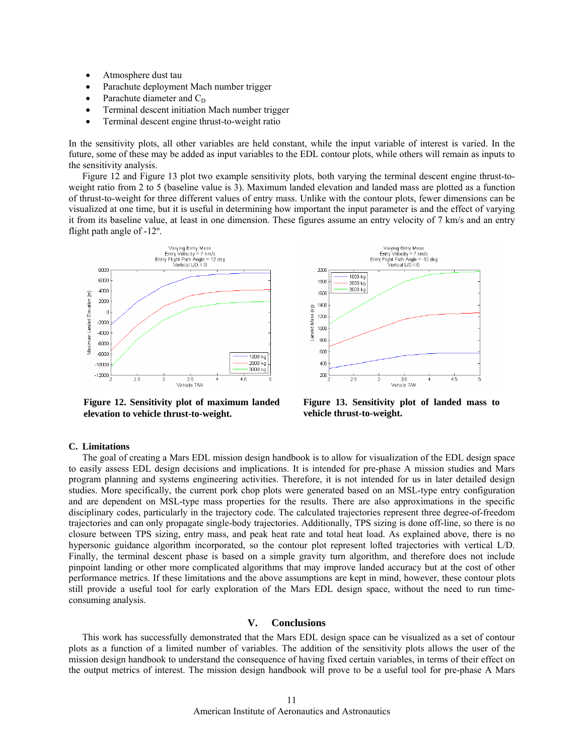- Atmosphere dust tau
- Parachute deployment Mach number trigger
- Parachute diameter and  $C_D$
- Terminal descent initiation Mach number trigger
- Terminal descent engine thrust-to-weight ratio

In the sensitivity plots, all other variables are held constant, while the input variable of interest is varied. In the future, some of these may be added as input variables to the EDL contour plots, while others will remain as inputs to the sensitivity analysis.

 Figure 12 and Figure 13 plot two example sensitivity plots, both varying the terminal descent engine thrust-toweight ratio from 2 to 5 (baseline value is 3). Maximum landed elevation and landed mass are plotted as a function of thrust-to-weight for three different values of entry mass. Unlike with the contour plots, fewer dimensions can be visualized at one time, but it is useful in determining how important the input parameter is and the effect of varying it from its baseline value, at least in one dimension. These figures assume an entry velocity of 7 km/s and an entry flight path angle of -12º.



**Figure 12. Sensitivity plot of maximum landed elevation to vehicle thrust-to-weight.** 



**Figure 13. Sensitivity plot of landed mass to vehicle thrust-to-weight.** 

#### **C. Limitations**

The goal of creating a Mars EDL mission design handbook is to allow for visualization of the EDL design space to easily assess EDL design decisions and implications. It is intended for pre-phase A mission studies and Mars program planning and systems engineering activities. Therefore, it is not intended for us in later detailed design studies. More specifically, the current pork chop plots were generated based on an MSL-type entry configuration and are dependent on MSL-type mass properties for the results. There are also approximations in the specific disciplinary codes, particularly in the trajectory code. The calculated trajectories represent three degree-of-freedom trajectories and can only propagate single-body trajectories. Additionally, TPS sizing is done off-line, so there is no closure between TPS sizing, entry mass, and peak heat rate and total heat load. As explained above, there is no hypersonic guidance algorithm incorporated, so the contour plot represent lofted trajectories with vertical L/D. Finally, the terminal descent phase is based on a simple gravity turn algorithm, and therefore does not include pinpoint landing or other more complicated algorithms that may improve landed accuracy but at the cost of other performance metrics. If these limitations and the above assumptions are kept in mind, however, these contour plots still provide a useful tool for early exploration of the Mars EDL design space, without the need to run timeconsuming analysis.

## **V. Conclusions**

This work has successfully demonstrated that the Mars EDL design space can be visualized as a set of contour plots as a function of a limited number of variables. The addition of the sensitivity plots allows the user of the mission design handbook to understand the consequence of having fixed certain variables, in terms of their effect on the output metrics of interest. The mission design handbook will prove to be a useful tool for pre-phase A Mars